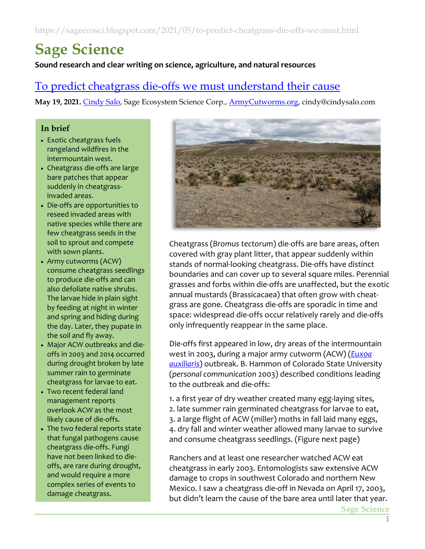# **Sage Science**

**Sound research and clear writing on science, agriculture, and natural resources**

# To predict [cheatgrass die-offs we must understand](https://sageecosci.blogspot.com/2021/05/to-predict-cheatgrass-die-offs-we-must.html) their cause

**May 19, 2021.** [Cindy Salo,](https://cindysalo.com/about-contact) Sage Ecosystem Science Corp., [ArmyCutworms.org,](http://www.armycutworms.org/) cindy@cindysalo.com

#### **In brief**

- Exotic cheatgrass fuels rangeland wildfires in the intermountain west.
- Cheatgrass die-offs are large bare patches that appear suddenly in cheatgrassinvaded areas.
- Die-offs are opportunities to reseed invaded areas with native species while there are few cheatgrass seeds in the soil to sprout and compete with sown plants.
- Army cutworms (ACW) consume cheatgrass seedlings to produce die-offs and can also defoliate native shrubs. The larvae hide in plain sight by feeding at night in winter and spring and hiding during the day. Later, they pupate in the soil and fly away.
- Major ACW outbreaks and dieoffs in 2003 and 2014 occurred during drought broken by late summer rain to germinate cheatgrass for larvae to eat.
- Two recent federal land management reports overlook ACW as the most likely cause of die-offs.
- The two federal reports state that fungal pathogens cause cheatgrass die-offs. Fungi have not been linked to dieoffs, are rare during drought, and would require a more complex series of events to damage cheatgrass.



Cheatgrass (*Bromus tectorum*) die-offs are bare areas, often covered with gray plant litter, that appear suddenly within stands of normal-looking cheatgrass. Die-offs have distinct boundaries and can cover up to several square miles. Perennial grasses and forbs within die-offs are unaffected, but the exotic annual mustards (Brassicacaea) that often grow with cheatgrass are gone. Cheatgrass die-offs are sporadic in time and space: widespread die-offs occur relatively rarely and die-offs only infrequently reappear in the same place.

Die-offs first appeared in low, dry areas of the intermountain west in 2003, during a major army cutworm (ACW) (*[Euxoa](http://pnwmoths.biol.wwu.edu/browse/family-noctuidae/subfamily-noctuinae/tribe-noctuini/euxoa/euxoa-auxiliaris/)  [auxiliaris](http://pnwmoths.biol.wwu.edu/browse/family-noctuidae/subfamily-noctuinae/tribe-noctuini/euxoa/euxoa-auxiliaris/)*) outbreak. B. Hammon of Colorado State University (*personal communication* 2003) described conditions leading to the outbreak and die-offs:

1. a first year of dry weather created many egg-laying sites, 2. late summer rain germinated cheatgrass for larvae to eat, 3. a large flight of ACW (miller) moths in fall laid many eggs, 4. dry fall and winter weather allowed many larvae to survive and consume cheatgrass seedlings. (Figure next page)

Ranchers and at least one researcher watched ACW eat cheatgrass in early 2003. Entomologists saw extensive ACW damage to crops in southwest Colorado and northern New Mexico. I saw a cheatgrass die-off in Nevada on April 17, 2003, but didn't learn the cause of the bare area until later that year.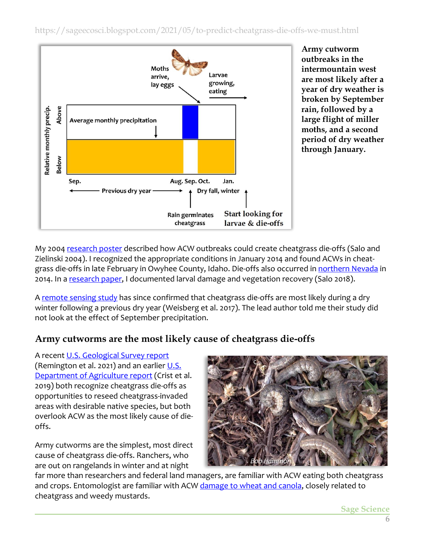

**Army cutworm outbreaks in the intermountain west are most likely after a year of dry weather is broken by September rain, followed by a large flight of miller moths, and a second period of dry weather through January.** 

My 2004 [research poster](http://www.cindysalo.com/Files/SaloZielinski04SRM.ArmyCutworms.pdf) described how ACW outbreaks could create cheatgrass die-offs (Salo and Zielinski 2004). I recognized the appropriate conditions in January 2014 and found ACWs in cheatgrass die-offs in late February in Owyhee County, Idaho. Die-offs also occurred i[n northern Nevada](https://www.researchgate.net/publication/266156297_Cheatgrass_die-offs_as_an_opportunity_for_restoration_in_the_Great_Basin_USA_Will_local_or_commercial_native_plants_succeed_where_exotic_invaders_fail) in 2014. In [a research paper,](https://www.sciencedirect.com/science/article/pii/S019005281830004X) I documented larval damage and vegetation recovery (Salo 2018).

A [remote sensing study](https://www.sciencedirect.com/science/article/abs/pii/S1470160X17302005) has since confirmed that cheatgrass die-offs are most likely during a dry winter following a previous dry year (Weisberg et al. 2017). The lead author told me their study did not look at the effect of September precipitation.

## **Army cutworms are the most likely cause of cheatgrass die-offs**

A recent [U.S. Geological Survey report](https://pubs.er.usgs.gov/publication/ofr20201125) (Remington et al. 2021) and an earlier U.S. [Department of Agriculture](https://www.fs.usda.gov/rmrs/publications/science-framework-conservation-and-restoration-sagebrush-biome-linking-department) report (Crist et al. 2019) both recognize cheatgrass die-offs as opportunities to reseed cheatgrass-invaded areas with desirable native species, but both overlook ACW as the most likely cause of dieoffs.

Army cutworms are the simplest, most direct cause of cheatgrass die-offs. Ranchers, who are out on rangelands in winter and at night



far more than researchers and federal land managers, are familiar with ACW eating both cheatgrass and crops. Entomologist are familiar with ACW [damage to wheat and canola,](https://eupdate.agronomy.ksu.edu/article_new/army-cutworms-in-wheat-alfalfa-and-winter-canola-376-3) closely related to cheatgrass and weedy mustards.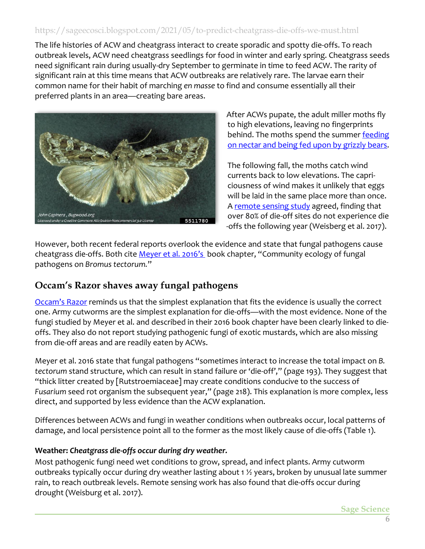The life histories of ACW and cheatgrass interact to create sporadic and spotty die-offs. To reach outbreak levels, ACW need cheatgrass seedlings for food in winter and early spring. Cheatgrass seeds need significant rain during usually-dry September to germinate in time to feed ACW. The rarity of significant rain at this time means that ACW outbreaks are relatively rare. The larvae earn their common name for their habit of marching *en masse* to find and consume essentially all their preferred plants in an area—creating bare areas.



After ACWs pupate, the adult miller moths fly to high elevations, leaving no fingerprints behind. The moths spend the summer [feeding](https://centerofthewest.org/2014/04/01/greater-yellowstone-grizzly-bear-army-cutworm-moths/) on nectar and being [fed upon by grizzly bears.](https://centerofthewest.org/2014/04/01/greater-yellowstone-grizzly-bear-army-cutworm-moths/)

The following fall, the moths catch wind currents back to low elevations. The capriciousness of wind makes it unlikely that eggs will be laid in the same place more than once. A [remote sensing study](https://www.sciencedirect.com/science/article/abs/pii/S1470160X17302005) agreed, finding that over 80% of die-off sites do not experience die -offs the following year (Weisberg et al. 2017).

However, both recent federal reports overlook the evidence and state that fungal pathogens cause cheatgrass die-offs. Both cite [Meyer et al. 201](https://www.fs.fed.us/rm/pubs_journals/2016/rmrs_2016_meyer_s001.pdf)6's book chapter, "Community ecology of fungal pathogens on *Bromus tectorum.*"

## **Occam's Razor shaves away fungal pathogens**

[Occam's](https://philosophyterms.com/occams-razor/) Razor reminds us that the simplest explanation that fits the evidence is usually the correct one. Army cutworms are the simplest explanation for die-offs—with the most evidence. None of the fungi studied by Meyer et al. and described in their 2016 book chapter have been clearly linked to dieoffs. They also do not report studying pathogenic fungi of exotic mustards, which are also missing from die-off areas and are readily eaten by ACWs.

Meyer et al. 2016 state that fungal pathogens "sometimes interact to increase the total impact on *B. tectorum* stand structure, which can result in stand failure or 'die-off'," (page 193). They suggest that "thick litter created by [Rutstroemiaceae] may create conditions conducive to the success of *Fusarium* seed rot organism the subsequent year," (page 218). This explanation is more complex, less direct, and supported by less evidence than the ACW explanation.

Differences between ACWs and fungi in weather conditions when outbreaks occur, local patterns of damage, and local persistence point all to the former as the most likely cause of die-offs (Table 1).

#### **Weather:** *Cheatgrass die-offs occur during dry weather.*

Most pathogenic fungi need wet conditions to grow, spread, and infect plants. Army cutworm outbreaks typically occur during dry weather lasting about 1 ½ years, broken by unusual late summer rain, to reach outbreak levels. Remote sensing work has also found that die-offs occur during drought (Weisburg et al. 2017).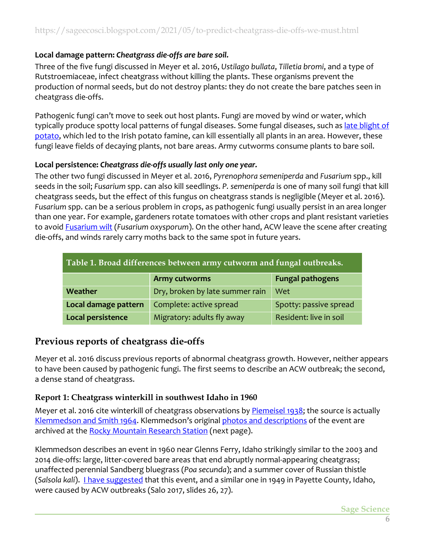#### **Local damage pattern:** *Cheatgrass die-offs are bare soil.*

Three of the five fungi discussed in Meyer et al. 2016, *Ustilago bullata*, *Tilletia bromi*, and a type of Rutstroemiaceae, infect cheatgrass without killing the plants. These organisms prevent the production of normal seeds, but do not destroy plants: they do not create the bare patches seen in cheatgrass die-offs.

Pathogenic fungi can't move to seek out host plants. Fungi are moved by wind or water, which typically produce spotty local patterns of fungal diseases. Some fungal diseases, such as late blight of [potato,](https://content.ces.ncsu.edu/potato-late-blight) which led to the Irish potato famine, can kill essentially all plants in an area. However, these fungi leave fields of decaying plants, not bare areas. Army cutworms consume plants to bare soil.

#### **Local persistence:** *Cheatgrass die-offs usually last only one year.*

The other two fungi discussed in Meyer et al. 2016, *Pyrenophora semeniperda* and *Fusarium* spp., kill seeds in the soil; *Fusarium* spp. can also kill seedlings. *P. semeniperda* is one of many soil fungi that kill cheatgrass seeds, but the effect of this fungus on cheatgrass stands is negligible (Meyer et al. 2016). *Fusarium* spp. can be a serious problem in crops, as pathogenic fungi usually persist in an area longer than one year. For example, gardeners rotate tomatoes with other crops and plant resistant varieties to avoid [Fusarium wilt](https://extension.umn.edu/diseases/fusarium-wilt) (*Fusarium oxysporum*). On the other hand, ACW leave the scene after creating die-offs, and winds rarely carry moths back to the same spot in future years.

| Table 1. Broad differences between army cutworm and fungal outbreaks. |                                 |                         |  |  |
|-----------------------------------------------------------------------|---------------------------------|-------------------------|--|--|
|                                                                       | <b>Army cutworms</b>            | <b>Fungal pathogens</b> |  |  |
| Weather                                                               | Dry, broken by late summer rain | Wet                     |  |  |
| Local damage pattern                                                  | Complete: active spread         | Spotty: passive spread  |  |  |
| Local persistence                                                     | Migratory: adults fly away      | Resident: live in soil  |  |  |

## **Previous reports of cheatgrass die-offs**

Meyer et al. 2016 discuss previous reports of abnormal cheatgrass growth. However, neither appears to have been caused by pathogenic fungi. The first seems to describe an ACW outbreak; the second, a dense stand of cheatgrass.

#### **Report 1: Cheatgrass winterkill in southwest Idaho in 1960**

Meyer et al. 2016 cite winterkill of cheatgrass observations by [Piemeisel 1938;](https://naldc.nal.usda.gov/download/CAT86200649/PDF) the source is actually [Klemmedson and Smith 1964.](https://www.jstor.org/stable/4353689) Klemmedson's original photos [and descriptions](http://www.cindysalo.com/Files/Klemmedson1960BRTEwinterkillPhotos.pdf) of the event are archived at th[e Rocky Mountain Research Station](http://www.greatbasinnpp.org/usfs-rmrs) (next page).

Klemmedson describes an event in 1960 near Glenns Ferry, Idaho strikingly similar to the 2003 and 2014 die-offs: large, litter-covered bare areas that end abruptly normal-appearing cheatgrass; unaffected perennial Sandberg bluegrass (*Poa secunda*); and a summer cover of Russian thistle (Salsola kali). *[I have suggested](http://www.cindysalo.com/Files/Salo17SRM.ArmyCutwormsTalk.pdf) that this event, and a similar one in 1949 in Payette County, Idaho,* were caused by ACW outbreaks (Salo 2017, slides 26, 27).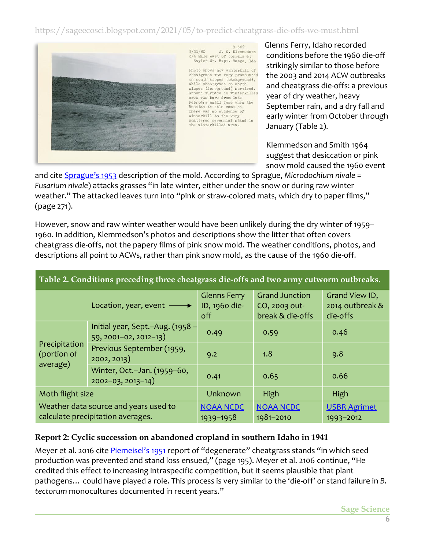

 $R - 669$ 9/21/60 J.O. Klemmedson<br>3/4 Mile east of corrals at<br>Saylor Cr. Expt. Range, Ida.

Photo shows how winterkill of cheatgrass was very pronounced<br>on south slopes (background), while cheatgrass on north<br>slopes (foreground) survived. Ground surface in winterkilled area was bare from late February until June when the Russian thistle came on. There was no evidence of<br>winterkill to the very scattered perennial stand in<br>the winterkilled area.

Glenns Ferry, Idaho recorded conditions before the 1960 die-off strikingly similar to those before the 2003 and 2014 ACW outbreaks and cheatgrass die-offs: a previous year of dry weather, heavy September rain, and a dry fall and early winter from October through January (Table 2).

Klemmedson and Smith 1964 suggest that desiccation or pink snow mold caused the 1960 event

and cite [Sprague](https://naldc.nal.usda.gov/download/IND43894327/PDF)'s 1953 description of the mold. According to Sprague, *Microdochium nivale* = *Fusarium nivale*) attacks grasses "in late winter, either under the snow or during raw winter weather." The attacked leaves turn into "pink or straw-colored mats, which dry to paper films," (page 271).

However, snow and raw winter weather would have been unlikely during the dry winter of 1959– 1960. In addition, Klemmedson's photos and descriptions show the litter that often covers cheatgrass die-offs, not the papery films of pink snow mold. The weather conditions, photos, and descriptions all point to ACWs, rather than pink snow mold, as the cause of the 1960 die-off.

|                                                                            | Location, year, event $\longrightarrow$                   | <b>Glenns Ferry</b><br>ID, 1960 die-<br>off | <b>Grand Junction</b><br>CO, 2003 out-<br>break & die-offs | Grand View ID,<br>2014 outbreak &<br>die-offs |
|----------------------------------------------------------------------------|-----------------------------------------------------------|---------------------------------------------|------------------------------------------------------------|-----------------------------------------------|
| Precipitation<br>(portion of<br>average)                                   | Initial year, Sept.-Aug. (1958 -<br>59, 2001-02, 2012-13) | 0.49                                        | 0.59                                                       | 0.46                                          |
|                                                                            | Previous September (1959,<br>2002, 2013)                  | 9.2                                         | 1.8                                                        | 9.8                                           |
|                                                                            | Winter, Oct.-Jan. (1959-60,<br>$2002 - 03, 2013 - 14)$    | 0.41                                        | 0.65                                                       | 0.66                                          |
| Moth flight size                                                           |                                                           | Unknown                                     | High                                                       | High                                          |
| Weather data source and years used to<br>calculate precipitation averages. |                                                           | <b>NOAA NCDC</b><br>1939-1958               | <b>NOAA NCDC</b><br>1981-2010                              | <b>USBR Agrimet</b><br>1993-2012              |

#### **Table 2. Conditions preceding three cheatgrass die-offs and two army cutworm outbreaks.**

#### **Report 2: Cyclic succession on abandoned cropland in southern Idaho in 1941**

Meyer et al. 2016 cite [Piemeisel's 1951](https://esajournals.onlinelibrary.wiley.com/doi/abs/10.2307/1930972) report of "degenerate" cheatgrass stands "in which seed production was prevented and stand loss ensued," (page 195). Meyer et al. 2106 continue, "He credited this effect to increasing intraspecific competition, but it seems plausible that plant pathogens… could have played a role. This process is very similar to the 'die-off' or stand failure in *B. tectorum* monocultures documented in recent years."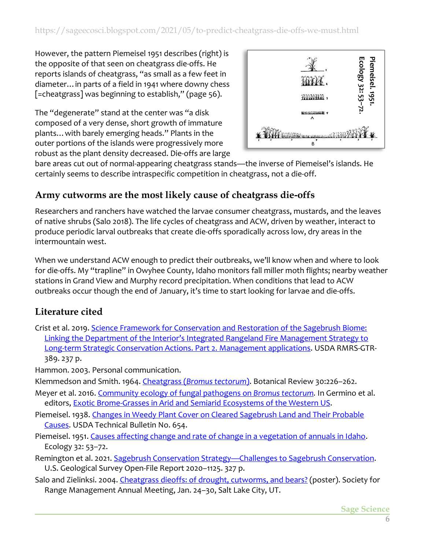However, the pattern Piemeisel 1951 describes (right) is the opposite of that seen on cheatgrass die-offs. He reports islands of cheatgrass, "as small as a few feet in diameter…in parts of a field in 1941 where downy chess [=cheatgrass] was beginning to establish," (page 56).

The "degenerate" stand at the center was "a disk composed of a very dense, short growth of immature plants…with barely emerging heads." Plants in the outer portions of the islands were progressively more robust as the plant density decreased. Die-offs are large



bare areas cut out of normal-appearing cheatgrass stands—the inverse of Piemeisel's islands. He certainly seems to describe intraspecific competition in cheatgrass, not a die-off.

## **Army cutworms are the most likely cause of cheatgrass die-offs**

Researchers and ranchers have watched the larvae consumer cheatgrass, mustards, and the leaves of native shrubs (Salo 2018). The life cycles of cheatgrass and ACW, driven by weather, interact to produce periodic larval outbreaks that create die-offs sporadically across low, dry areas in the intermountain west.

When we understand ACW enough to predict their outbreaks, we'll know when and where to look for die-offs. My "trapline" in Owyhee County, Idaho monitors fall miller moth flights; nearby weather stations in Grand View and Murphy record precipitation. When conditions that lead to ACW outbreaks occur though the end of January, it's time to start looking for larvae and die-offs.

## **Literature cited**

Crist et al. 2019. [Science Framework for Conservation and Restoration of the Sagebrush Biome:](https://doi.org/10.2737/RMRS-GTR-389)  [Linking the Department of the Interior's Integrated Rangeland Fire Management Strategy to](https://doi.org/10.2737/RMRS-GTR-389)  [Long-term Strategic Conservation Actions. Part 2. Management applications.](https://doi.org/10.2737/RMRS-GTR-389) USDA RMRS-GTR-389. 237 p.

Hammon. 2003. Personal communication.

Klemmedson and Smith. 1964. Cheatgrass (*[Bromus tectorum](https://www.jstor.org/stable/4353689)*). Botanical Review 30:226–262.

- Meyer et al. 2016. [Community ecology of fungal pathogens on](https://www.fs.fed.us/rm/pubs_journals/2016/rmrs_2016_meyer_s001.pdf) *Bromus tectorum.* In Germino et al. editors, [Exotic Brome-Grasses in Arid and Semiarid Ecosystems of the Western US.](https://link.springer.com/book/10.1007/978-3-319-24930-8)
- Piemeisel. 1938. [Changes in Weedy Plant Cover on Cleared Sagebrush Land and Their Probable](https://naldc.nal.usda.gov/download/CAT86200649/PDF)  [Causes.](https://naldc.nal.usda.gov/download/CAT86200649/PDF) USDA Technical Bulletin No. 654.
- Piemeisel. 1951. [Causes affecting change and rate of change in a vegetation of annuals in Idaho.](https://esajournals.onlinelibrary.wiley.com/doi/abs/10.2307/1930972) Ecology 32: 53–72.
- Remington et al. 2021. Sagebrush Conservation Strategy—[Challenges to Sagebrush Conservation.](https://pubs.er.usgs.gov/publication/ofr20201125) U.S. Geological Survey Open-File Report 2020–1125. 327 p.
- Salo and Zielinksi. 2004. [Cheatgrass dieoffs: of drought, cutworms, and bears?](http://www.cindysalo.com/Files/SaloZielinski04SRM.ArmyCutworms.pdf) (poster). Society for Range Management Annual Meeting, Jan. 24–30, Salt Lake City, UT.